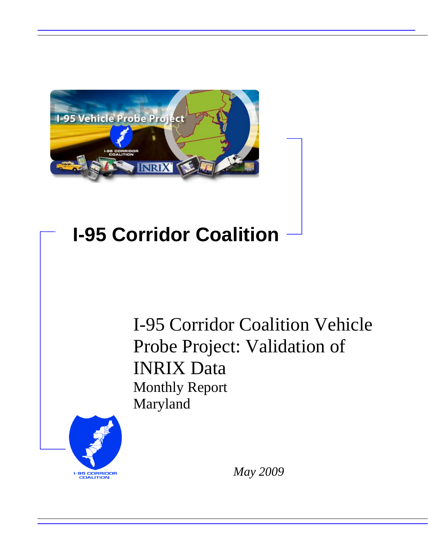

## **I-95 Corridor Coalition**

I-95 Corridor Coalition Vehicle Probe Project: Validation of INRIX Data Monthly Report Maryland



*May 2009*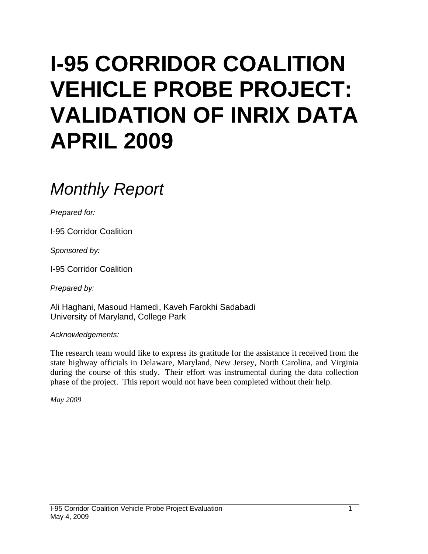# **I-95 CORRIDOR COALITION VEHICLE PROBE PROJECT: VALIDATION OF INRIX DATA APRIL 2009**

## *Monthly Report*

*Prepared for:* 

I-95 Corridor Coalition

*Sponsored by:* 

I-95 Corridor Coalition

*Prepared by:* 

Ali Haghani, Masoud Hamedi, Kaveh Farokhi Sadabadi University of Maryland, College Park

*Acknowledgements:* 

The research team would like to express its gratitude for the assistance it received from the state highway officials in Delaware, Maryland, New Jersey, North Carolina, and Virginia during the course of this study. Their effort was instrumental during the data collection phase of the project. This report would not have been completed without their help.

*May 2009*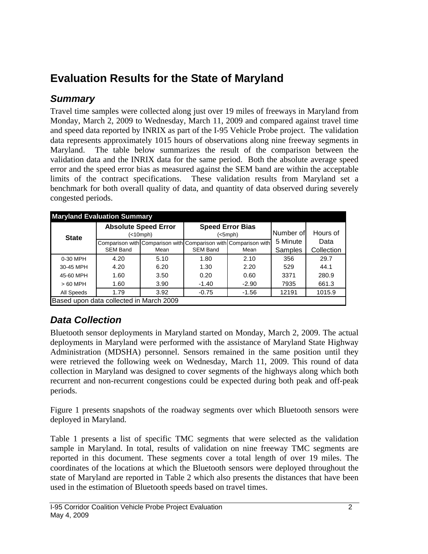## **Evaluation Results for the State of Maryland**

### *Summary*

Travel time samples were collected along just over 19 miles of freeways in Maryland from Monday, March 2, 2009 to Wednesday, March 11, 2009 and compared against travel time and speed data reported by INRIX as part of the I-95 Vehicle Probe project. The validation data represents approximately 1015 hours of observations along nine freeway segments in Maryland. The table below summarizes the result of the comparison between the validation data and the INRIX data for the same period. Both the absolute average speed error and the speed error bias as measured against the SEM band are within the acceptable limits of the contract specifications. These validation results from Maryland set a benchmark for both overall quality of data, and quantity of data observed during severely congested periods.

| <b>Maryland Evaluation Summary</b>                              |                         |                                          |                 |                                    |           |                    |  |  |  |  |
|-----------------------------------------------------------------|-------------------------|------------------------------------------|-----------------|------------------------------------|-----------|--------------------|--|--|--|--|
| <b>State</b>                                                    |                         | <b>Absolute Speed Error</b><br>(<10 mph) |                 | <b>Speed Error Bias</b><br>(<5mph) | Number of | Hours of           |  |  |  |  |
| Comparison with Comparison with Comparison with Comparison with |                         |                                          |                 |                                    | 5 Minute  | Data<br>Collection |  |  |  |  |
|                                                                 | <b>SEM Band</b><br>Mean |                                          | <b>SEM Band</b> | Mean                               | Samples   |                    |  |  |  |  |
| 0-30 MPH                                                        | 4.20                    | 5.10                                     | 1.80            | 2.10                               | 356       | 29.7               |  |  |  |  |
| 30-45 MPH                                                       | 4.20                    | 6.20                                     | 1.30            | 2.20                               | 529       | 44.1               |  |  |  |  |
| 45-60 MPH                                                       | 1.60                    | 3.50                                     | 0.20            | 0.60                               | 3371      | 280.9              |  |  |  |  |
| $>60$ MPH                                                       | 1.60                    | 3.90                                     | $-1.40$         | $-2.90$                            | 7935      | 661.3              |  |  |  |  |
| All Speeds                                                      | 1.79                    | 3.92                                     | $-0.75$         | $-1.56$                            | 12191     | 1015.9             |  |  |  |  |
| Based upon data collected in March 2009                         |                         |                                          |                 |                                    |           |                    |  |  |  |  |

## *Data Collection*

Bluetooth sensor deployments in Maryland started on Monday, March 2, 2009. The actual deployments in Maryland were performed with the assistance of Maryland State Highway Administration (MDSHA) personnel. Sensors remained in the same position until they were retrieved the following week on Wednesday, March 11, 2009. This round of data collection in Maryland was designed to cover segments of the highways along which both recurrent and non-recurrent congestions could be expected during both peak and off-peak periods.

Figure 1 presents snapshots of the roadway segments over which Bluetooth sensors were deployed in Maryland.

Table 1 presents a list of specific TMC segments that were selected as the validation sample in Maryland. In total, results of validation on nine freeway TMC segments are reported in this document. These segments cover a total length of over 19 miles. The coordinates of the locations at which the Bluetooth sensors were deployed throughout the state of Maryland are reported in Table 2 which also presents the distances that have been used in the estimation of Bluetooth speeds based on travel times.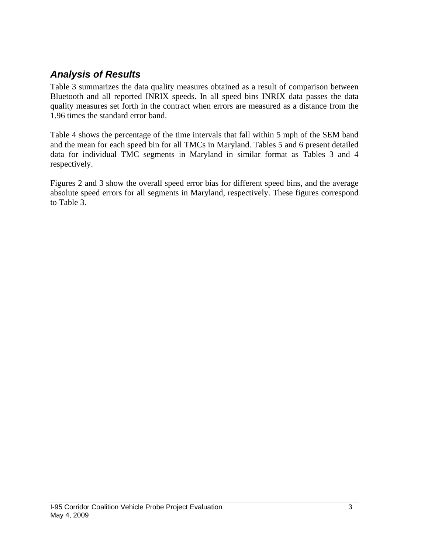### *Analysis of Results*

Table 3 summarizes the data quality measures obtained as a result of comparison between Bluetooth and all reported INRIX speeds. In all speed bins INRIX data passes the data quality measures set forth in the contract when errors are measured as a distance from the 1.96 times the standard error band.

Table 4 shows the percentage of the time intervals that fall within 5 mph of the SEM band and the mean for each speed bin for all TMCs in Maryland. Tables 5 and 6 present detailed data for individual TMC segments in Maryland in similar format as Tables 3 and 4 respectively.

Figures 2 and 3 show the overall speed error bias for different speed bins, and the average absolute speed errors for all segments in Maryland, respectively. These figures correspond to Table 3.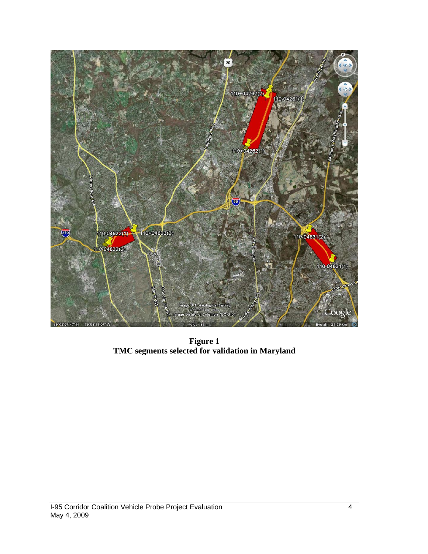

**Figure 1 TMC segments selected for validation in Maryland**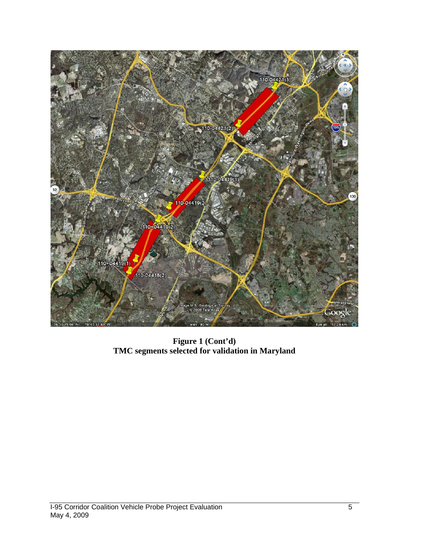

**Figure 1 (Cont'd) TMC segments selected for validation in Maryland**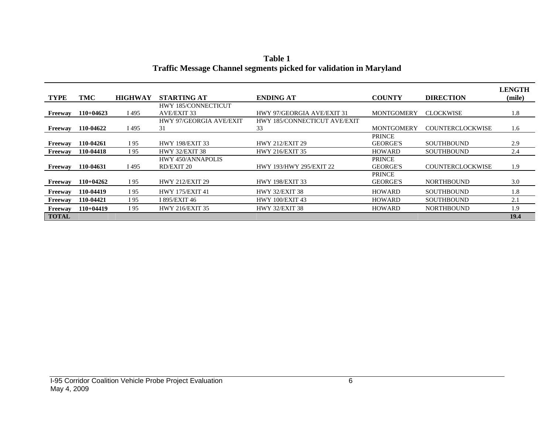|                |             |                |                            |                                |                   |                         | <b>LENGTH</b> |
|----------------|-------------|----------------|----------------------------|--------------------------------|-------------------|-------------------------|---------------|
| <b>TYPE</b>    | TMC         | <b>HIGHWAY</b> | <b>STARTING AT</b>         | <b>ENDING AT</b>               | <b>COUNTY</b>     | <b>DIRECTION</b>        | (mile)        |
|                |             |                | <b>HWY 185/CONNECTICUT</b> |                                |                   |                         |               |
| Freeway        | $110+04623$ | I 495          | AVE/EXIT 33                | HWY 97/GEORGIA AVE/EXIT 31     | <b>MONTGOMERY</b> | <b>CLOCKWISE</b>        | 1.8           |
|                |             |                | HWY 97/GEORGIA AVE/EXIT    | HWY 185/CONNECTICUT AVE/EXIT   |                   |                         |               |
| Freeway        | 110-04622   | I 495          | 31                         | 33                             | <b>MONTGOMERY</b> | <b>COUNTERCLOCKWISE</b> | 1.6           |
|                |             |                |                            |                                | <b>PRINCE</b>     |                         |               |
| Freeway        | 110-04261   | I 95           | <b>HWY 198/EXIT 33</b>     | <b>HWY 212/EXIT 29</b>         | <b>GEORGE'S</b>   | <b>SOUTHBOUND</b>       | 2.9           |
| Freeway        | 110-04418   | I 95           | <b>HWY 32/EXIT 38</b>      | <b>HWY 216/EXIT 35</b>         | <b>HOWARD</b>     | <b>SOUTHBOUND</b>       | 2.4           |
|                |             |                | HWY 450/ANNAPOLIS          |                                | <b>PRINCE</b>     |                         |               |
| Freeway        | 110-04631   | I 495          | <b>RD/EXIT 20</b>          | <b>HWY 193/HWY 295/EXIT 22</b> | <b>GEORGE'S</b>   | <b>COUNTERCLOCKWISE</b> | 1.9           |
|                |             |                |                            |                                | <b>PRINCE</b>     |                         |               |
| Freeway        | $110+04262$ | I 95           | <b>HWY 212/EXIT 29</b>     | <b>HWY 198/EXIT 33</b>         | <b>GEORGE'S</b>   | <b>NORTHBOUND</b>       | 3.0           |
| Freeway        | 110-04419   | I 95           | <b>HWY 175/EXIT 41</b>     | <b>HWY 32/EXIT 38</b>          | <b>HOWARD</b>     | <b>SOUTHBOUND</b>       | 1.8           |
| <b>Freeway</b> | 110-04421   | I 95           | I 895/EXIT 46              | <b>HWY 100/EXIT 43</b>         | <b>HOWARD</b>     | <b>SOUTHBOUND</b>       | 2.1           |
| Freeway        | $110+04419$ | I 95           | <b>HWY 216/EXIT 35</b>     | <b>HWY 32/EXIT 38</b>          | <b>HOWARD</b>     | <b>NORTHBOUND</b>       | 1.9           |
| <b>TOTAL</b>   |             |                |                            |                                |                   |                         | 19.4          |

**Table 1 Traffic Message Channel segments picked for validation in Maryland**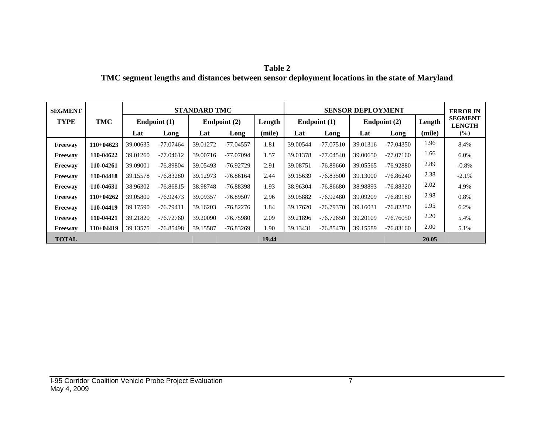| Table 2                                                                                        |  |
|------------------------------------------------------------------------------------------------|--|
| TMC segment lengths and distances between sensor deployment locations in the state of Maryland |  |

| <b>SEGMENT</b> |             |                |             | <b>STANDARD TMC</b> |             |        | <b>SENSOR DEPLOYMENT</b> |             |                |             |        | <b>ERROR IN</b>                 |
|----------------|-------------|----------------|-------------|---------------------|-------------|--------|--------------------------|-------------|----------------|-------------|--------|---------------------------------|
| <b>TYPE</b>    | TMC         | Endpoint $(1)$ |             | Endpoint $(2)$      |             | Length | Endpoint $(1)$           |             | Endpoint $(2)$ |             | Length | <b>SEGMENT</b><br><b>LENGTH</b> |
|                |             | Lat            | Long        | Lat                 | Long        | (mile) | Lat                      | Long        | Lat            | Long        | (mile) | $(\%)$                          |
| <b>Freeway</b> | $110+04623$ | 39.00635       | $-77.07464$ | 39.01272            | $-77.04557$ | 1.81   | 39.00544                 | $-77.07510$ | 39.01316       | $-77.04350$ | 1.96   | 8.4%                            |
| Freeway        | 110-04622   | 39.01260       | $-77.04612$ | 39.00716            | -77.07094   | 1.57   | 39.01378                 | $-77.04540$ | 39,00650       | $-77.07160$ | 1.66   | 6.0%                            |
| Freeway        | 110-04261   | 39.09001       | $-76.89804$ | 39.05493            | $-76.92729$ | 2.91   | 39.08751                 | $-76.89660$ | 39.05565       | $-76.92880$ | 2.89   | $-0.8\%$                        |
| Freeway        | 110-04418   | 39.15578       | $-76.83280$ | 39.12973            | $-76.86164$ | 2.44   | 39.15639                 | $-76.83500$ | 39.13000       | $-76.86240$ | 2.38   | $-2.1%$                         |
| <b>Freeway</b> | 110-04631   | 38.96302       | $-76.86815$ | 38.98748            | $-76.88398$ | 1.93   | 38.96304                 | $-76.86680$ | 38.98893       | $-76.88320$ | 2.02   | 4.9%                            |
| Freeway        | $110+04262$ | 39.05800       | $-76.92473$ | 39.09357            | $-76.89507$ | 2.96   | 39.05882                 | $-76.92480$ | 39.09209       | $-76.89180$ | 2.98   | 0.8%                            |
| <b>Freeway</b> | 110-04419   | 39.17590       | $-76.79411$ | 39.16203            | $-76.82276$ | 1.84   | 39.17620                 | $-76.79370$ | 39.16031       | $-76.82350$ | 1.95   | 6.2%                            |
| Freeway        | 110-04421   | 39.21820       | $-76.72760$ | 39.20090            | $-76.75980$ | 2.09   | 39.21896                 | $-76.72650$ | 39.20109       | $-76.76050$ | 2.20   | 5.4%                            |
| <b>Freeway</b> | $110+04419$ | 39.13575       | $-76.85498$ | 39.15587            | $-76.83269$ | 1.90   | 39.13431                 | $-76.85470$ | 39.15589       | $-76.83160$ | 2.00   | 5.1%                            |
| <b>TOTAL</b>   |             |                |             |                     |             | 19.44  |                          |             |                |             | 20.05  |                                 |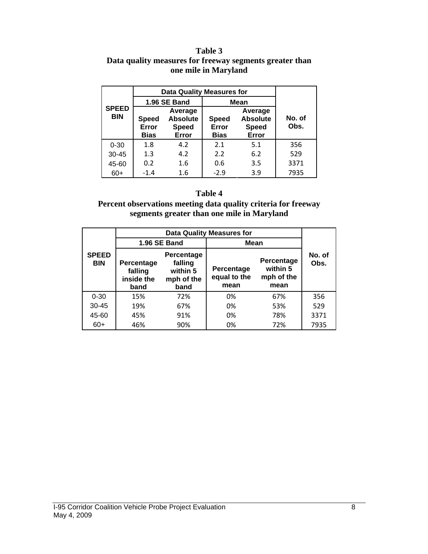#### **Table 3 Data quality measures for freeway segments greater than one mile in Maryland**

|                            | <b>Data Quality Measures for</b>                                                            |              |                                      |                                                     |                |  |
|----------------------------|---------------------------------------------------------------------------------------------|--------------|--------------------------------------|-----------------------------------------------------|----------------|--|
|                            |                                                                                             | 1.96 SE Band | <b>Mean</b>                          |                                                     |                |  |
| <b>SPEED</b><br><b>BIN</b> | Average<br><b>Absolute</b><br><b>Speed</b><br>Error<br><b>Speed</b><br><b>Bias</b><br>Error |              | <b>Speed</b><br>Error<br><b>Bias</b> | Average<br><b>Absolute</b><br><b>Speed</b><br>Error | No. of<br>Obs. |  |
| $0 - 30$                   | 1.8                                                                                         | 4.2          | 2.1                                  | 5.1                                                 | 356            |  |
| $30 - 45$                  | 1.3                                                                                         | 4.2          | 2.2                                  | 6.2                                                 | 529            |  |
| 45-60                      | 0.2                                                                                         | 1.6          | 0.6                                  | 3.5                                                 | 3371           |  |
| $60+$                      | $-1.4$                                                                                      | 1.6          | $-2.9$                               | 3.9                                                 | 7935           |  |

#### **Table 4**

#### **Percent observations meeting data quality criteria for freeway segments greater than one mile in Maryland**

|                            |                                                                                                                      | 1.96 SE Band | Mean                               |                                              |                |  |
|----------------------------|----------------------------------------------------------------------------------------------------------------------|--------------|------------------------------------|----------------------------------------------|----------------|--|
| <b>SPEED</b><br><b>BIN</b> | <b>Percentage</b><br>falling<br><b>Percentage</b><br>within 5<br>falling<br>inside the<br>mph of the<br>band<br>band |              | Percentage<br>equal to the<br>mean | Percentage<br>within 5<br>mph of the<br>mean | No. of<br>Obs. |  |
| $0 - 30$                   | 15%                                                                                                                  | 72%          | 0%                                 | 67%                                          | 356            |  |
| $30 - 45$                  | 19%                                                                                                                  | 67%          | 0%                                 | 53%                                          | 529            |  |
| 45-60                      | 45%                                                                                                                  | 91%          | 0%                                 | 78%                                          | 3371           |  |
| $60+$                      | 46%                                                                                                                  | 90%          | 0%                                 | 72%                                          | 7935           |  |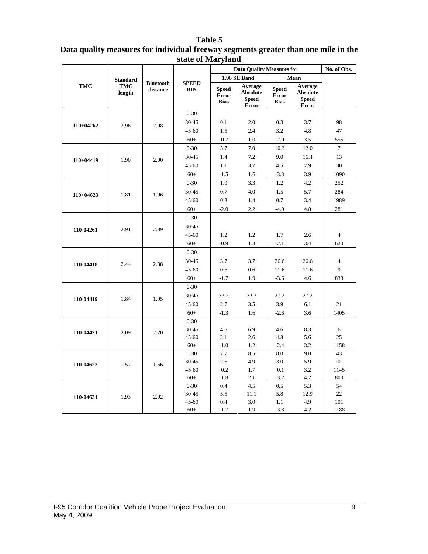#### **Table 5**

| Data quality measures for individual freeway segments greater than one mile in the |  |
|------------------------------------------------------------------------------------|--|
| state of Maryland                                                                  |  |

|             |                      |                              |                            | <b>Data Quality Measures for</b>            | No. of Obs.                                                |                                             |                                                            |                |
|-------------|----------------------|------------------------------|----------------------------|---------------------------------------------|------------------------------------------------------------|---------------------------------------------|------------------------------------------------------------|----------------|
|             | <b>Standard</b>      |                              |                            |                                             | 1.96 SE Band                                               |                                             | Mean                                                       |                |
| TMC         | <b>TMC</b><br>length | <b>Bluetooth</b><br>distance | <b>SPEED</b><br><b>BIN</b> | <b>Speed</b><br><b>Error</b><br><b>Bias</b> | Average<br><b>Absolute</b><br><b>Speed</b><br><b>Error</b> | <b>Speed</b><br><b>Error</b><br><b>Bias</b> | Average<br><b>Absolute</b><br><b>Speed</b><br><b>Error</b> |                |
|             |                      |                              | $0 - 30$                   |                                             |                                                            |                                             |                                                            |                |
| 110+04262   | 2.96                 | 2.98                         | 30-45                      | 0.1                                         | 2.0                                                        | 0.3                                         | 3.7                                                        | 98             |
|             |                      |                              | $45 - 60$                  | 1.5                                         | 2.4                                                        | 3.2                                         | 4.8                                                        | 47             |
|             |                      |                              | $60+$                      | $-0.7$                                      | 1.0                                                        | $-2.0$                                      | 3.5                                                        | 555            |
|             |                      |                              | $0 - 30$                   | 5.7                                         | 7.0                                                        | 10.3                                        | 12.0                                                       | $\tau$         |
| $110+04419$ | 1.90                 | 2.00                         | 30-45                      | 1.4                                         | 7.2                                                        | 9.0                                         | 16.4                                                       | 13             |
|             |                      |                              | $45 - 60$                  | 1.1                                         | 3.7                                                        | 4.5                                         | 7.9                                                        | 30             |
|             |                      |                              | $60+$                      | $-1.5$                                      | 1.6                                                        | $-3.3$                                      | 3.9                                                        | 1090           |
|             |                      |                              | $0 - 30$                   | 1.0                                         | 3.3                                                        | 1.2                                         | 4.2                                                        | 252            |
| $110+04623$ | 1.81                 | 1.96                         | 30-45                      | 0.7                                         | 4.0                                                        | 1.5                                         | 5.7                                                        | 284            |
|             |                      |                              | $45 - 60$                  | 0.3                                         | 1.4                                                        | 0.7                                         | 3.4                                                        | 1989           |
|             |                      |                              | $60+$                      | $-2.0$                                      | 2.2                                                        | $-4.0$                                      | 4.8                                                        | 281            |
|             | 2.91                 |                              | $0 - 30$                   |                                             |                                                            |                                             |                                                            |                |
| 110-04261   |                      | 2.89                         | 30-45                      |                                             |                                                            |                                             |                                                            |                |
|             |                      |                              | $45 - 60$                  | 1.2                                         | 1.2                                                        | 1.7                                         | 2.6                                                        | $\overline{4}$ |
|             |                      |                              | $60+$                      | $-0.9$                                      | 1.3                                                        | $-2.1$                                      | 3.4                                                        | 620            |
|             |                      |                              | $0 - 30$                   |                                             |                                                            |                                             |                                                            |                |
| 110-04418   | 2.44                 | 2.38                         | 30-45                      | 3.7                                         | 3.7                                                        | 26.6                                        | 26.6                                                       | $\overline{4}$ |
|             |                      |                              | 45-60                      | 0.6                                         | 0.6                                                        | 11.6                                        | 11.6                                                       | 9              |
|             |                      |                              | $60+$                      | $-1.7$                                      | 1.9                                                        | $-3.6$                                      | 4.6                                                        | 838            |
|             | 1.84                 |                              | $0 - 30$                   |                                             |                                                            |                                             |                                                            |                |
| 110-04419   |                      | 1.95                         | 30-45                      | 23.3                                        | 23.3                                                       | 27.2                                        | 27.2                                                       | $\mathbf{1}$   |
|             |                      |                              | $45 - 60$                  | 2.7                                         | 3.5                                                        | 3.9                                         | 6.1                                                        | 21             |
|             |                      |                              | $60+$                      | $-1.3$                                      | 1.6                                                        | $-2.6$                                      | 3.6                                                        | 1405           |
|             |                      |                              | $0 - 30$                   |                                             |                                                            |                                             |                                                            |                |
| 110-04421   | 2.09                 | 2.20                         | 30-45                      | 4.5                                         | 6.9                                                        | 4.6                                         | 8.3                                                        | 6              |
|             |                      |                              | 45-60                      | 2.1                                         | 2.6                                                        | 4.8                                         | 5.6                                                        | 25             |
|             |                      |                              | $60+$                      | $-1.0$                                      | 1.2                                                        | $-2.4$                                      | 3.2                                                        | 1158           |
|             |                      |                              | $0 - 30$                   | 7.7                                         | 8.5                                                        | 8.0                                         | 9.0                                                        | 43             |
| 110-04622   | 1.57                 | 1.66                         | 30-45<br>45-60             | 2.5<br>$-0.2$                               | 4.9<br>1.7                                                 | 3.0<br>$-0.1$                               | 5.9<br>3.2                                                 | 101<br>1145    |
|             |                      |                              | $60+$                      | $-1.8$                                      | 2.1                                                        | $-3.2$                                      | 4.2                                                        | 800            |
|             |                      |                              | $0 - 30$                   | 0.4                                         | 4.5                                                        | 0.5                                         | 5.3                                                        | 54             |
|             |                      |                              | 30-45                      | 5.5                                         | 11.1                                                       | 5.8                                         | 12.9                                                       | 22             |
| 110-04631   | 1.93                 | 2.02                         | 45-60                      | 0.4                                         | 3.0                                                        | 1.1                                         | 4.9                                                        | 101            |
|             |                      |                              | $60+$                      | $-1.7$                                      | 1.9                                                        | $-3.3$                                      | 4.2                                                        | 1188           |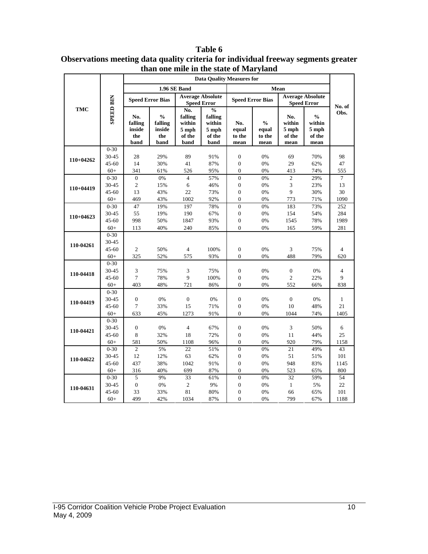|             |                   | anan one anne in the state of man gland<br><b>Data Quality Measures for</b> |                                                                        |                                                     |                                                               |                                      |                                          |                                          |                                                    |              |
|-------------|-------------------|-----------------------------------------------------------------------------|------------------------------------------------------------------------|-----------------------------------------------------|---------------------------------------------------------------|--------------------------------------|------------------------------------------|------------------------------------------|----------------------------------------------------|--------------|
|             |                   |                                                                             |                                                                        | 1.96 SE Band                                        |                                                               |                                      |                                          |                                          |                                                    |              |
|             |                   |                                                                             | <b>Speed Error Bias</b>                                                | <b>Average Absolute</b>                             |                                                               |                                      | <b>Speed Error Bias</b>                  | Mean<br><b>Average Absolute</b>          |                                                    |              |
|             |                   |                                                                             |                                                                        |                                                     | <b>Speed Error</b>                                            |                                      |                                          |                                          | <b>Speed Error</b>                                 | No. of       |
| <b>TMC</b>  | <b>SPEED BIN</b>  | No.<br>falling<br>inside<br>the<br>band                                     | $\mathbf{0}_{\mathbf{0}}^{\prime}$<br>falling<br>inside<br>the<br>band | No.<br>falling<br>within<br>5 mph<br>of the<br>band | $\frac{0}{0}$<br>falling<br>within<br>5 mph<br>of the<br>band | No.<br>equal<br>to the<br>mean       | $\frac{0}{0}$<br>equal<br>to the<br>mean | No.<br>within<br>5 mph<br>of the<br>mean | $\frac{0}{0}$<br>within<br>5 mph<br>of the<br>mean | Obs.         |
|             | $0 - 30$          |                                                                             |                                                                        |                                                     |                                                               |                                      |                                          |                                          |                                                    |              |
| $110+04262$ | 30-45             | 28                                                                          | 29%                                                                    | 89                                                  | 91%                                                           | $\boldsymbol{0}$                     | 0%                                       | 69                                       | 70%                                                | 98           |
|             | $45 - 60$         | 14                                                                          | 30%                                                                    | 41                                                  | 87%                                                           | $\boldsymbol{0}$                     | 0%                                       | 29                                       | 62%                                                | 47           |
|             | $60+$             | 341                                                                         | 61%                                                                    | 526                                                 | 95%                                                           | $\overline{0}$                       | 0%                                       | 413                                      | 74%                                                | 555          |
|             | $0 - 30$          | $\mathbf{0}$                                                                | $0\%$                                                                  | $\overline{4}$                                      | 57%                                                           | $\overline{0}$                       | 0%                                       | $\mathfrak{2}$                           | 29%                                                | $\tau$       |
| $110+04419$ | 30-45             | $\overline{c}$                                                              | 15%                                                                    | 6                                                   | 46%                                                           | $\boldsymbol{0}$                     | 0%                                       | 3                                        | 23%                                                | 13           |
|             | $45 - 60$         | 13                                                                          | 43%                                                                    | 22                                                  | 73%                                                           | $\boldsymbol{0}$                     | 0%                                       | 9                                        | 30%                                                | 30           |
|             | $60+$             | 469                                                                         | 43%                                                                    | 1002                                                | 92%                                                           | $\overline{0}$<br>$\overline{0}$     | 0%                                       | 773                                      | 71%                                                | 1090         |
|             | $0 - 30$          | 47                                                                          | 19%                                                                    | 197                                                 | 78%                                                           |                                      | 0%                                       | 183                                      | 73%                                                | 252<br>284   |
| $110+04623$ | 30-45<br>45-60    | 55<br>998                                                                   | 19%<br>50%                                                             | 190<br>1847                                         | 67%<br>93%                                                    | $\boldsymbol{0}$<br>$\boldsymbol{0}$ | 0%<br>0%                                 | 154<br>1545                              | 54%<br>78%                                         | 1989         |
|             | $60+$             | 113                                                                         | 40%                                                                    | 240                                                 | 85%                                                           | $\theta$                             | 0%                                       | 165                                      | 59%                                                | 281          |
|             | $0 - 30$          |                                                                             |                                                                        |                                                     |                                                               |                                      |                                          |                                          |                                                    |              |
|             | 30-45             |                                                                             |                                                                        |                                                     |                                                               |                                      |                                          |                                          |                                                    |              |
| 110-04261   | $45 - 60$         | $\overline{c}$                                                              | 50%                                                                    | $\overline{4}$                                      | 100%                                                          | $\boldsymbol{0}$                     | 0%                                       | 3                                        | 75%                                                | 4            |
|             | $60+$             | 325                                                                         | 52%                                                                    | 575                                                 | 93%                                                           | $\boldsymbol{0}$                     | 0%                                       | 488                                      | 79%                                                | 620          |
|             | $0 - 30$          |                                                                             |                                                                        |                                                     |                                                               |                                      |                                          |                                          |                                                    |              |
|             | 30-45             | 3                                                                           | 75%                                                                    | 3                                                   | 75%                                                           | $\boldsymbol{0}$                     | 0%                                       | $\boldsymbol{0}$                         | 0%                                                 | 4            |
| 110-04418   | $45 - 60$         | $\overline{7}$                                                              | 78%                                                                    | 9                                                   | 100%                                                          | $\boldsymbol{0}$                     | 0%                                       | $\sqrt{2}$                               | 22%                                                | 9            |
|             | $60+$             | 403                                                                         | 48%                                                                    | 721                                                 | 86%                                                           | $\boldsymbol{0}$                     | 0%                                       | 552                                      | 66%                                                | 838          |
|             | $0 - 30$          |                                                                             |                                                                        |                                                     |                                                               |                                      |                                          |                                          |                                                    |              |
| 110-04419   | 30-45             | $\boldsymbol{0}$                                                            | 0%                                                                     | $\boldsymbol{0}$                                    | 0%                                                            | $\boldsymbol{0}$                     | 0%                                       | $\boldsymbol{0}$                         | 0%                                                 | $\mathbf{1}$ |
|             | $45 - 60$         | $\overline{7}$                                                              | 33%                                                                    | 15                                                  | 71%                                                           | $\boldsymbol{0}$                     | 0%                                       | 10                                       | 48%                                                | 21           |
|             | $60+$             | 633                                                                         | 45%                                                                    | 1273                                                | 91%                                                           | $\overline{0}$                       | 0%                                       | 1044                                     | 74%                                                | 1405         |
|             | $0 - 30$          |                                                                             |                                                                        |                                                     |                                                               |                                      |                                          |                                          |                                                    |              |
| 110-04421   | 30-45             | $\boldsymbol{0}$                                                            | 0%                                                                     | $\overline{4}$                                      | 67%                                                           | $\boldsymbol{0}$                     | 0%                                       | 3                                        | 50%                                                | 6            |
|             | $45 - 60$         | 8                                                                           | 32%                                                                    | 18                                                  | 72%                                                           | $\mathbf{0}$                         | 0%                                       | 11                                       | 44%                                                | 25           |
|             | $60+$             | 581                                                                         | 50%                                                                    | 1108                                                | 96%                                                           | $\boldsymbol{0}$                     | 0%                                       | 920                                      | 79%                                                | 1158         |
|             | $0 - 30$          | $\overline{c}$                                                              | 5%                                                                     | 22                                                  | 51%                                                           | $\overline{0}$                       | 0%                                       | 21                                       | 49%                                                | 43           |
| 110-04622   | 30-45             | 12                                                                          | 12%                                                                    | 63                                                  | 62%                                                           | $\boldsymbol{0}$                     | 0%                                       | 51                                       | 51%                                                | 101          |
|             | $45 - 60$         | 437                                                                         | 38%                                                                    | 1042                                                | 91%                                                           | $\overline{0}$                       | 0%                                       | 948                                      | 83%                                                | 1145         |
|             | $60+$<br>$0 - 30$ | 316<br>5                                                                    | 40%<br>9%                                                              | 699<br>33                                           | 87%<br>61%                                                    | $\boldsymbol{0}$<br>$\overline{0}$   | 0%<br>0%                                 | 523<br>32                                | 65%<br>59%                                         | 800<br>54    |
|             | 30-45             | $\boldsymbol{0}$                                                            | 0%                                                                     | $\overline{c}$                                      | 9%                                                            | $\boldsymbol{0}$                     | 0%                                       | $\mathbf{1}$                             | 5%                                                 | 22           |
| 110-04631   | $45 - 60$         | 33                                                                          | 33%                                                                    | 81                                                  | 80%                                                           | $\boldsymbol{0}$                     | 0%                                       | 66                                       | 65%                                                | 101          |
|             | $60+$             | 499                                                                         | 42%                                                                    | 1034                                                | 87%                                                           | $\boldsymbol{0}$                     | 0%                                       | 799                                      | 67%                                                | 1188         |
|             |                   |                                                                             |                                                                        |                                                     |                                                               |                                      |                                          |                                          |                                                    |              |

**Table 6 Observations meeting data quality criteria for individual freeway segments greater than one mile in the state of Maryland**